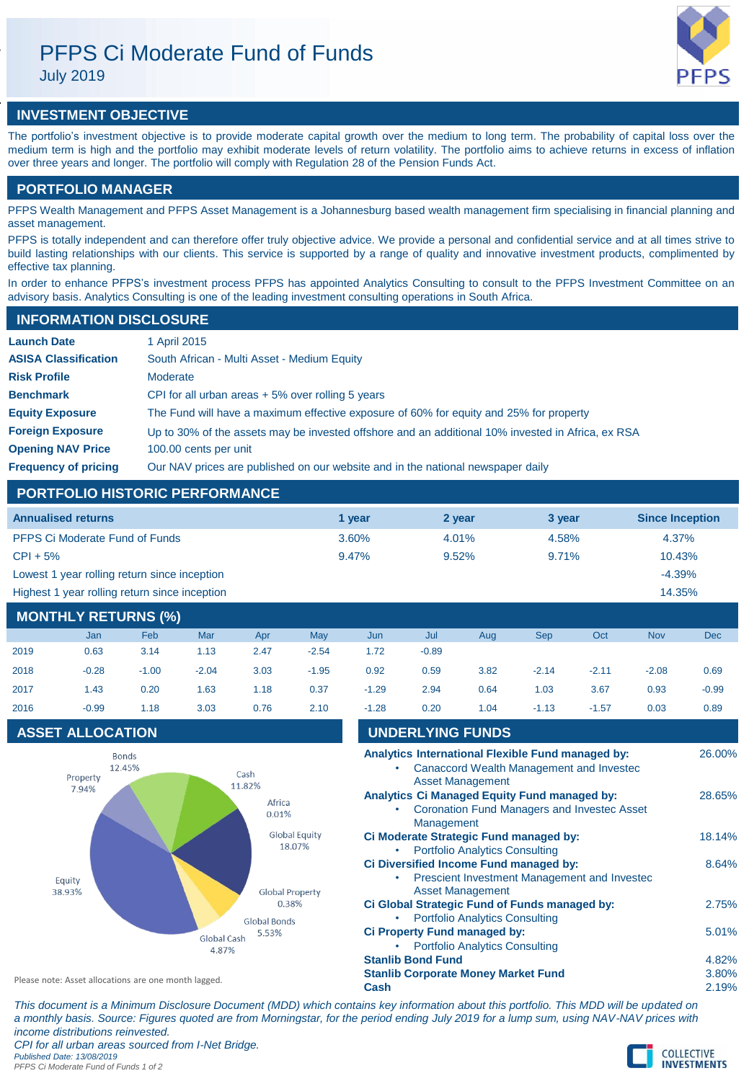

# **INVESTMENT OBJECTIVE**

The portfolio's investment objective is to provide moderate capital growth over the medium to long term. The probability of capital loss over the medium term is high and the portfolio may exhibit moderate levels of return volatility. The portfolio aims to achieve returns in excess of inflation over three years and longer. The portfolio will comply with Regulation 28 of the Pension Funds Act.

# **PORTFOLIO MANAGER**

PFPS Wealth Management and PFPS Asset Management is a Johannesburg based wealth management firm specialising in financial planning and asset management.

PFPS is totally independent and can therefore offer truly objective advice. We provide a personal and confidential service and at all times strive to build lasting relationships with our clients. This service is supported by a range of quality and innovative investment products, complimented by effective tax planning.

In order to enhance PFPS's investment process PFPS has appointed Analytics Consulting to consult to the PFPS Investment Committee on an advisory basis. Analytics Consulting is one of the leading investment consulting operations in South Africa.

| <b>INFORMATION DISCLOSURE</b> |                                                                                                   |
|-------------------------------|---------------------------------------------------------------------------------------------------|
| <b>Launch Date</b>            | 1 April 2015                                                                                      |
| <b>ASISA Classification</b>   | South African - Multi Asset - Medium Equity                                                       |
| <b>Risk Profile</b>           | Moderate                                                                                          |
| <b>Benchmark</b>              | CPI for all urban areas $+5\%$ over rolling 5 years                                               |
| <b>Equity Exposure</b>        | The Fund will have a maximum effective exposure of 60% for equity and 25% for property            |
| <b>Foreign Exposure</b>       | Up to 30% of the assets may be invested offshore and an additional 10% invested in Africa, ex RSA |
| <b>Opening NAV Price</b>      | 100.00 cents per unit                                                                             |
| <b>Frequency of pricing</b>   | Our NAV prices are published on our website and in the national newspaper daily                   |

# **PORTFOLIO HISTORIC PERFORMANCE**

| <b>Annualised returns</b>                     | 1 vear | 2 year   | 3 year | <b>Since Inception</b> |
|-----------------------------------------------|--------|----------|--------|------------------------|
| <b>PFPS Ci Moderate Fund of Funds</b>         | 3.60%  | $4.01\%$ | 4.58%  | 4.37%                  |
| $CPI + 5%$                                    | 9.47%  | $9.52\%$ | 9.71%  | 10.43%                 |
| Lowest 1 year rolling return since inception  |        |          |        | $-4.39%$               |
| Highest 1 year rolling return since inception |        |          |        | 14.35%                 |

# **MONTHLY RETURNS (%)**

|      | Jan     | Feb     | Mar     | Apr  | <b>May</b> | Jun     | Jul     | Aug  | <b>Sep</b> | Oct     | <b>Nov</b> | <b>Dec</b> |
|------|---------|---------|---------|------|------------|---------|---------|------|------------|---------|------------|------------|
| 2019 | 0.63    | 3.14    | 1.13    | 2.47 | $-2.54$    | 1.72    | $-0.89$ |      |            |         |            |            |
| 2018 | $-0.28$ | $-1.00$ | $-2.04$ | 3.03 | $-1.95$    | 0.92    | 0.59    | 3.82 | $-2.14$    | $-2.11$ | $-2.08$    | 0.69       |
| 2017 | 1.43    | 0.20    | 1.63    | 1.18 | 0.37       | $-1.29$ | 2.94    | 0.64 | 1.03       | 3.67    | 0.93       | $-0.99$    |
| 2016 | $-0.99$ | 1.18    | 3.03    | 0.76 | 2.10       | $-1.28$ | 0.20    | 1.04 | $-1.13$    | $-1.57$ | 0.03       | 0.89       |

# **ASSET ALLOCATION**



| $-0.99$  | 1.18                      | 3.03                                              | 0.76                                                 | 2.10                           | $-1.28$                                                                                              | 0.20 | 1.04 | $-1.13$                                                                                                                 | $-1.57$                                                                                                                                                                                               | 0.03                                                                                                                                                                              | 0.89                                                                                                                                                                                                |
|----------|---------------------------|---------------------------------------------------|------------------------------------------------------|--------------------------------|------------------------------------------------------------------------------------------------------|------|------|-------------------------------------------------------------------------------------------------------------------------|-------------------------------------------------------------------------------------------------------------------------------------------------------------------------------------------------------|-----------------------------------------------------------------------------------------------------------------------------------------------------------------------------------|-----------------------------------------------------------------------------------------------------------------------------------------------------------------------------------------------------|
|          |                           |                                                   |                                                      |                                |                                                                                                      |      |      |                                                                                                                         |                                                                                                                                                                                                       |                                                                                                                                                                                   |                                                                                                                                                                                                     |
| Property |                           |                                                   | Cash                                                 |                                |                                                                                                      |      |      |                                                                                                                         |                                                                                                                                                                                                       |                                                                                                                                                                                   | 26.00%                                                                                                                                                                                              |
|          |                           |                                                   |                                                      |                                |                                                                                                      |      |      |                                                                                                                         |                                                                                                                                                                                                       |                                                                                                                                                                                   | 28.65%                                                                                                                                                                                              |
|          |                           |                                                   |                                                      |                                | ٠                                                                                                    |      |      |                                                                                                                         |                                                                                                                                                                                                       |                                                                                                                                                                                   | 18.14%                                                                                                                                                                                              |
|          |                           |                                                   |                                                      |                                | ٠                                                                                                    |      |      |                                                                                                                         |                                                                                                                                                                                                       |                                                                                                                                                                                   | 8.64%                                                                                                                                                                                               |
|          |                           |                                                   |                                                      |                                | ۰                                                                                                    |      |      |                                                                                                                         |                                                                                                                                                                                                       |                                                                                                                                                                                   | 2.75%                                                                                                                                                                                               |
|          |                           |                                                   | 5.53%                                                |                                | ٠                                                                                                    |      |      |                                                                                                                         |                                                                                                                                                                                                       |                                                                                                                                                                                   | 5.01%                                                                                                                                                                                               |
|          |                           |                                                   |                                                      |                                |                                                                                                      |      |      |                                                                                                                         |                                                                                                                                                                                                       |                                                                                                                                                                                   | 4.82%                                                                                                                                                                                               |
|          |                           |                                                   |                                                      |                                |                                                                                                      |      |      |                                                                                                                         |                                                                                                                                                                                                       |                                                                                                                                                                                   | 3.80%                                                                                                                                                                                               |
|          |                           |                                                   |                                                      |                                | Cash                                                                                                 |      |      |                                                                                                                         |                                                                                                                                                                                                       |                                                                                                                                                                                   | 2.19%                                                                                                                                                                                               |
|          | 7.94%<br>Equity<br>38.93% | <b>ASSET ALLOCATION</b><br><b>Bonds</b><br>12.45% | Please note: Asset allocations are one month lagged. | 11.82%<br>Global Cash<br>4.87% | Africa<br>0.01%<br>Global Equity<br>18.07%<br><b>Global Property</b><br>0.38%<br><b>Global Bonds</b> |      |      | <b>UNDERLYING FUNDS</b><br><b>Asset Management</b><br>Management<br><b>Asset Management</b><br><b>Stanlib Bond Fund</b> | <b>Portfolio Analytics Consulting</b><br><b>Portfolio Analytics Consulting</b><br>Ci Property Fund managed by:<br><b>Portfolio Analytics Consulting</b><br><b>Stanlib Corporate Money Market Fund</b> | Analytics Ci Managed Equity Fund managed by:<br>Ci Moderate Strategic Fund managed by:<br>Ci Diversified Income Fund managed by:<br>Ci Global Strategic Fund of Funds managed by: | Analytics International Flexible Fund managed by:<br>Canaccord Wealth Management and Invested<br><b>Coronation Fund Managers and Investec Asset</b><br>Prescient Investment Management and Invested |

*This document is a Minimum Disclosure Document (MDD) which contains key information about this portfolio. This MDD will be updated on a monthly basis. Source: Figures quoted are from Morningstar, for the period ending July 2019 for a lump sum, using NAV-NAV prices with income distributions reinvested. CPI for all urban areas sourced from I-Net Bridge.*

*Published Date: 13/08/2019 PFPS Ci Moderate Fund of Funds 1 of 2*